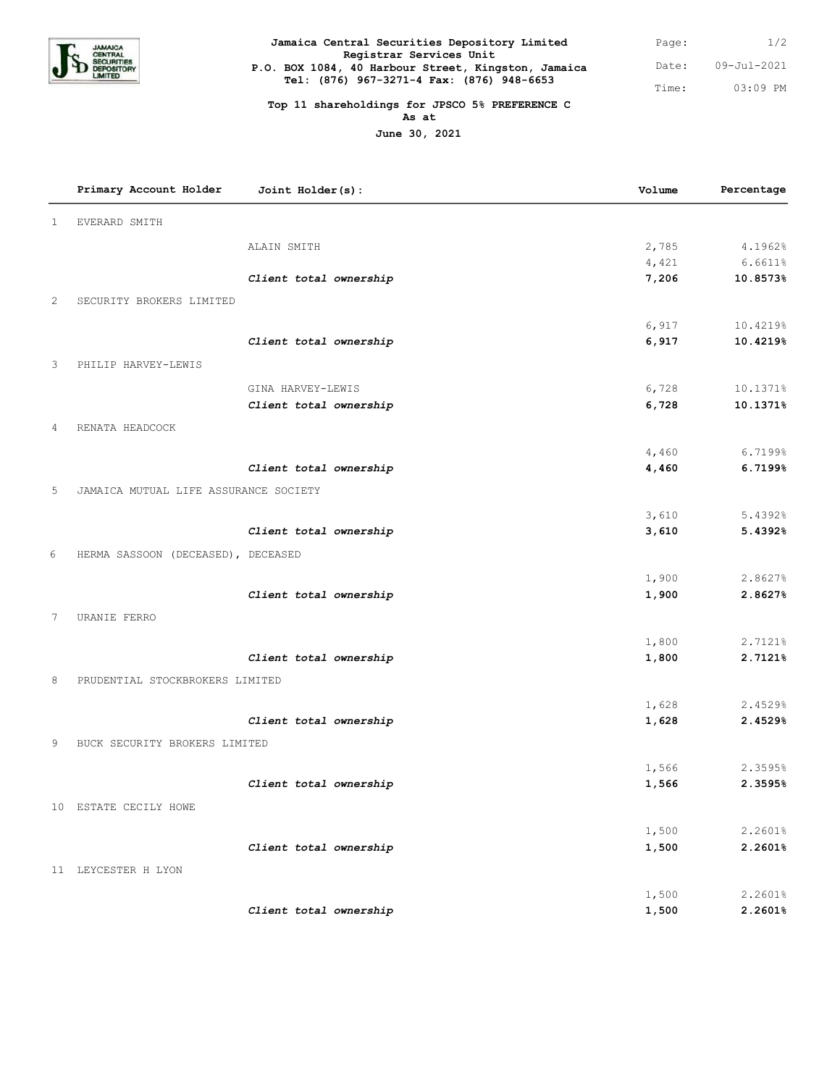

| Jamaica Central Securities Depository Limited                                  | Page: | 1/2         |
|--------------------------------------------------------------------------------|-------|-------------|
| Registrar Services Unit<br>P.O. BOX 1084, 40 Harbour Street, Kingston, Jamaica | Date: | 09-Jul-2021 |
| Tel: (876) 967-3271-4 Fax: (876) 948-6653                                      | Time: | $0.3:09$ PM |

## **Top 11 shareholdings for JPSCO 5% PREFERENCE C**

**As at**

**June 30, 2021**

|              | Primary Account Holder                | Joint Holder(s):       | Volume | Percentage |
|--------------|---------------------------------------|------------------------|--------|------------|
| $\mathbf{1}$ | <b>EVERARD SMITH</b>                  |                        |        |            |
|              |                                       | ALAIN SMITH            | 2,785  | 4.1962%    |
|              |                                       |                        | 4,421  | 6.6611%    |
|              |                                       | Client total ownership | 7,206  | 10.8573%   |
| $\mathbf{2}$ | SECURITY BROKERS LIMITED              |                        |        |            |
|              |                                       |                        | 6,917  | 10.4219%   |
|              |                                       | Client total ownership | 6,917  | 10.4219%   |
| 3            | PHILIP HARVEY-LEWIS                   |                        |        |            |
|              |                                       | GINA HARVEY-LEWIS      | 6,728  | 10.1371%   |
|              |                                       | Client total ownership | 6,728  | 10.1371%   |
| 4            | RENATA HEADCOCK                       |                        |        |            |
|              |                                       |                        | 4,460  | 6.7199%    |
|              |                                       | Client total ownership | 4,460  | 6.7199%    |
| 5            | JAMAICA MUTUAL LIFE ASSURANCE SOCIETY |                        |        |            |
|              |                                       |                        | 3,610  | 5.4392%    |
|              |                                       | Client total ownership | 3,610  | 5.4392%    |
| 6            | HERMA SASSOON (DECEASED), DECEASED    |                        |        |            |
|              |                                       |                        | 1,900  | 2.8627%    |
|              |                                       | Client total ownership | 1,900  | 2.8627%    |
| 7            | URANIE FERRO                          |                        |        |            |
|              |                                       |                        | 1,800  | 2.7121%    |
|              |                                       | Client total ownership | 1,800  | 2.7121%    |
| 8            | PRUDENTIAL STOCKBROKERS LIMITED       |                        |        |            |
|              |                                       |                        | 1,628  | 2.4529%    |
|              |                                       | Client total ownership | 1,628  | 2.4529%    |
| 9            | BUCK SECURITY BROKERS LIMITED         |                        |        |            |
|              |                                       |                        | 1,566  | 2.3595%    |
|              |                                       | Client total ownership | 1,566  | 2.3595%    |
|              | 10 ESTATE CECILY HOWE                 |                        |        |            |
|              |                                       |                        | 1,500  | 2.2601%    |
|              |                                       | Client total ownership | 1,500  | 2.2601%    |
|              | 11 LEYCESTER H LYON                   |                        |        |            |
|              |                                       |                        | 1,500  | 2.2601%    |
|              |                                       | Client total ownership | 1,500  | 2.2601%    |
|              |                                       |                        |        |            |